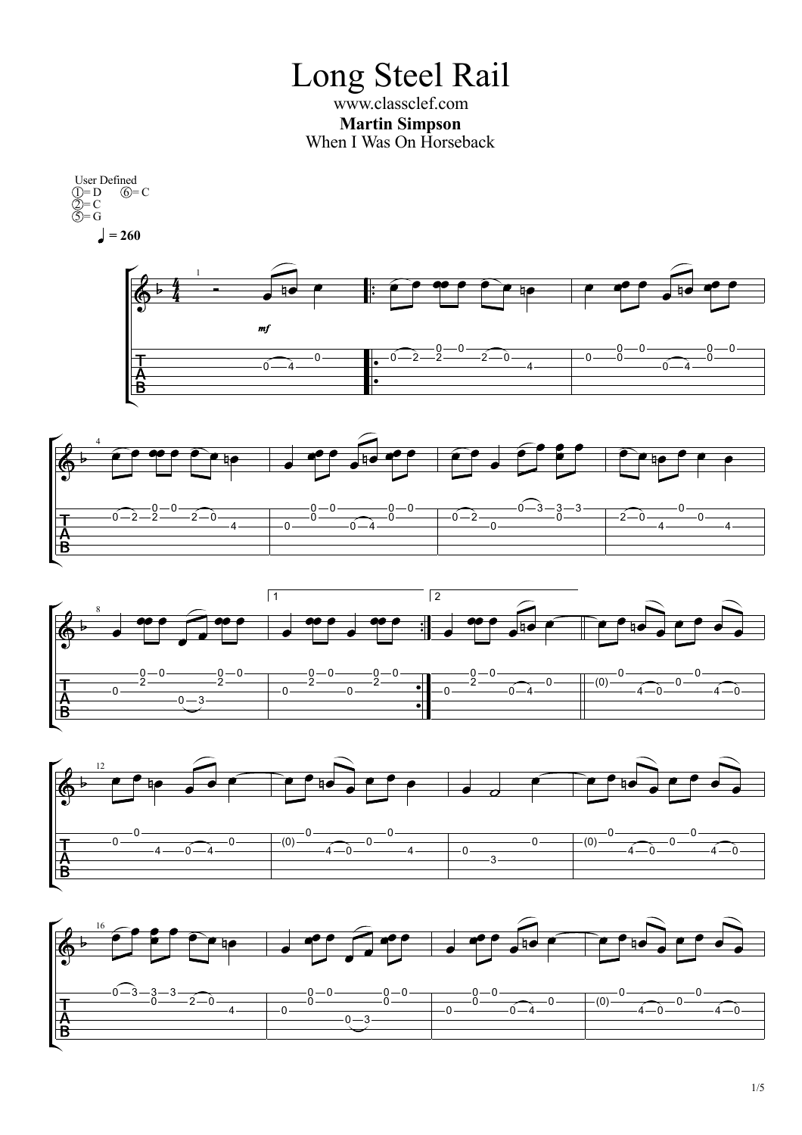Long Steel Rail

www.classclef.com **Martin Simpson** When I Was On Horseback

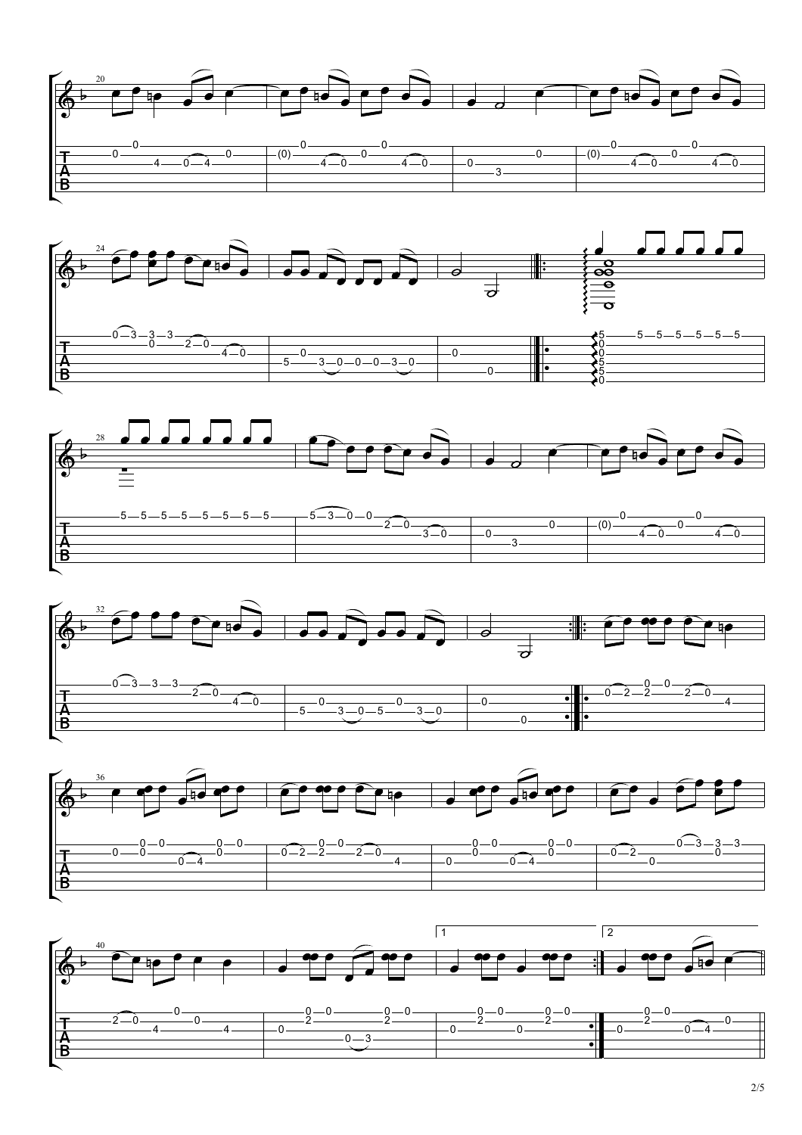









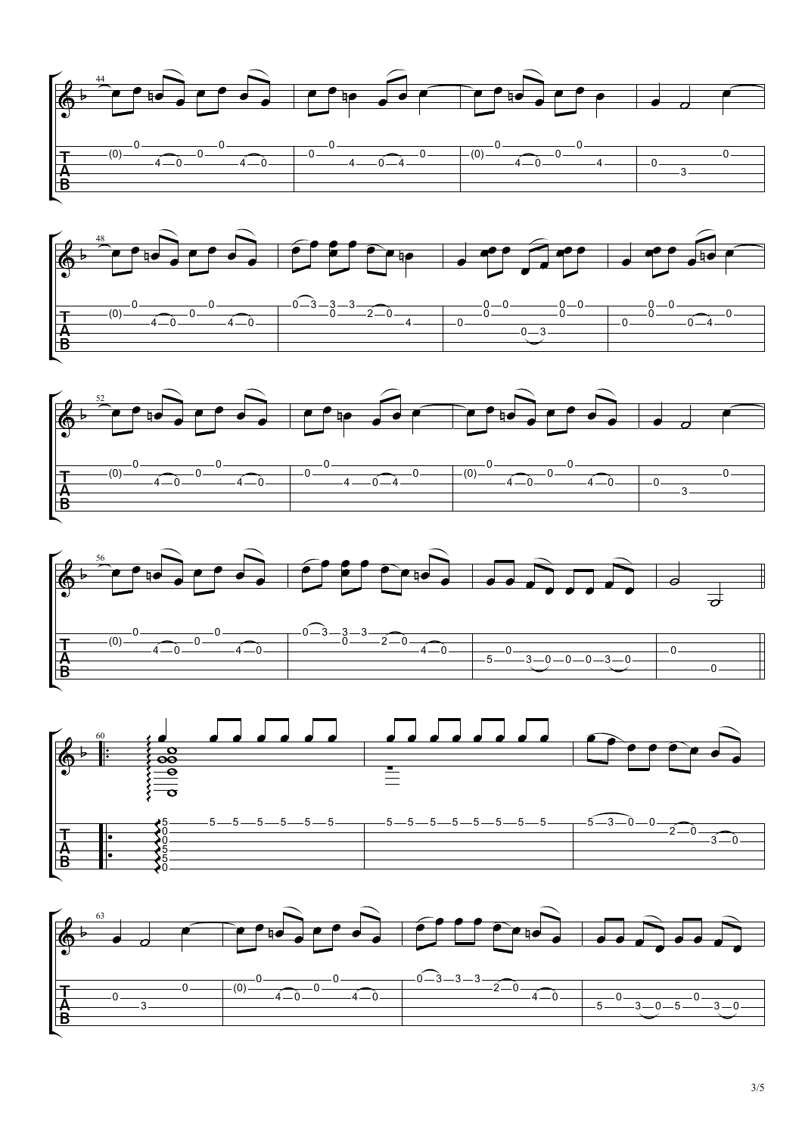









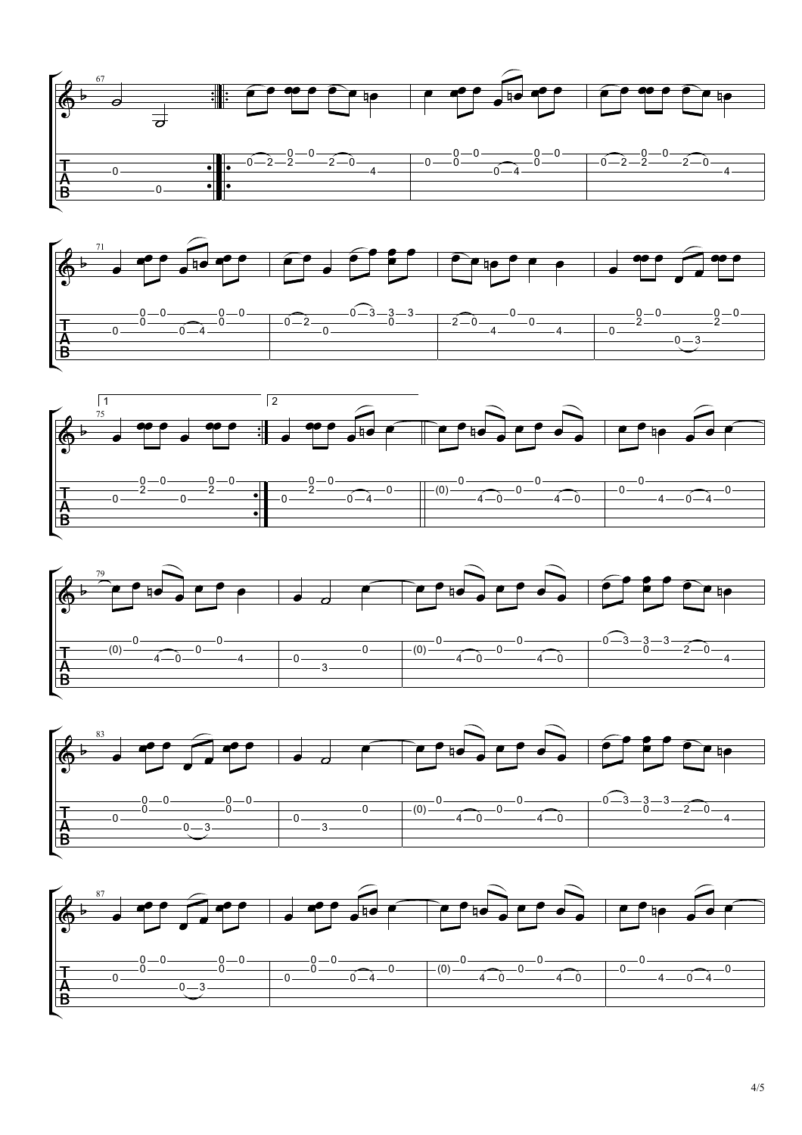